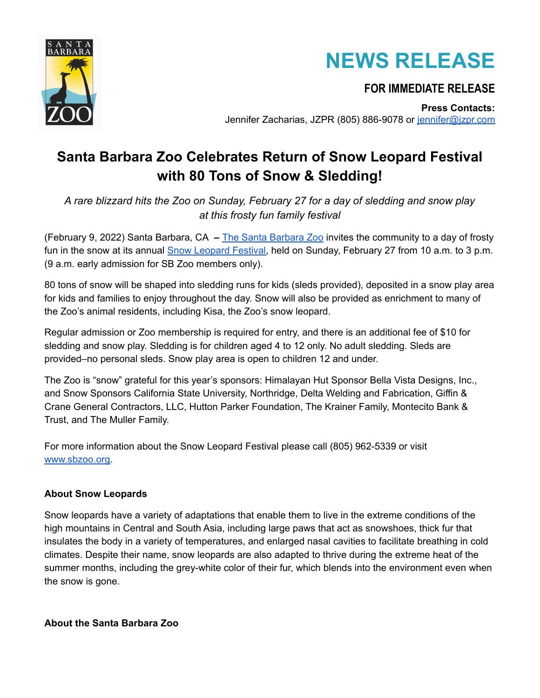



## **FOR IMMEDIATE RELEASE**

**Press Contacts:** Jennifer Zacharias, JZPR (805) 886-9078 or jennifer@izpr.com

## **Santa Barbara Zoo Celebrates Return of Snow Leopard Festival with 80 Tons of Snow & Sledding!**

*A rare blizzard hits the Zoo on Sunday, February 27 for a day of sledding and snow play at this frosty fun family festival*

(February 9, 2022) Santa Barbara, CA **–** The Santa [Barbara](https://www.sbzoo.org/) Zoo invites the community to a day of frosty fun in the snow at its annual Snow [Leopard](https://www.sbzoo.org/event/snow-leopard-festival-sledding-at-the-zoo/) Festival, held on Sunday, February 27 from 10 a.m. to 3 p.m. (9 a.m. early admission for SB Zoo members only).

80 tons of snow will be shaped into sledding runs for kids (sleds provided), deposited in a snow play area for kids and families to enjoy throughout the day. Snow will also be provided as enrichment to many of the Zoo's animal residents, including Kisa, the Zoo's snow leopard.

Regular admission or Zoo membership is required for entry, and there is an additional fee of \$10 for sledding and snow play. Sledding is for children aged 4 to 12 only. No adult sledding. Sleds are provided–no personal sleds. Snow play area is open to children 12 and under.

The Zoo is "snow" grateful for this year's sponsors: Himalayan Hut Sponsor Bella Vista Designs, Inc., and Snow Sponsors California State University, Northridge, Delta Welding and Fabrication, Giffin & Crane General Contractors, LLC, Hutton Parker Foundation, The Krainer Family, Montecito Bank & Trust, and The Muller Family.

For more information about the Snow Leopard Festival please call (805) 962-5339 or visit [www.sbzoo.org.](http://www.sbzoo.org)

## **About Snow Leopards**

Snow leopards have a variety of adaptations that enable them to live in the extreme conditions of the high mountains in Central and South Asia, including large paws that act as snowshoes, thick fur that insulates the body in a variety of temperatures, and enlarged nasal cavities to facilitate breathing in cold climates. Despite their name, snow leopards are also adapted to thrive during the extreme heat of the summer months, including the grey-white color of their fur, which blends into the environment even when the snow is gone.

**About the Santa Barbara Zoo**